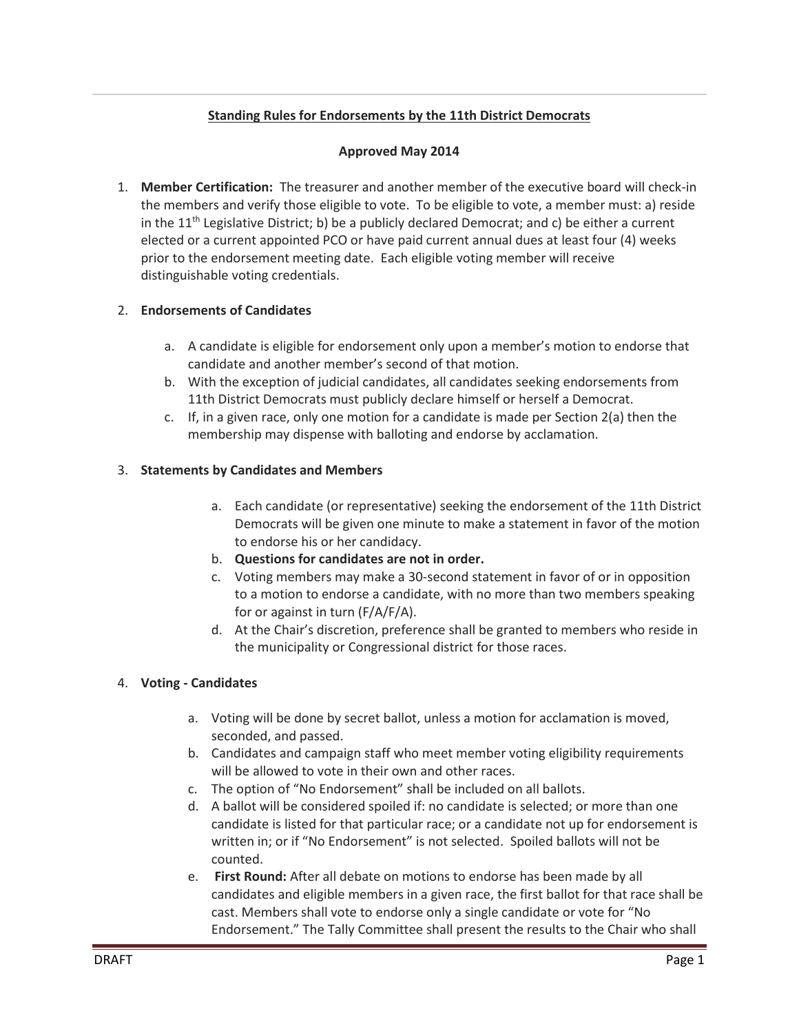# **Standing Rules for Endorsements by the 11th District Democrats**

#### **Approved May 2014**

1. **Member Certification:** The treasurer and another member of the executive board will check-in the members and verify those eligible to vote. To be eligible to vote, a member must: a) reside in the  $11<sup>th</sup>$  Legislative District; b) be a publicly declared Democrat; and c) be either a current elected or a current appointed PCO or have paid current annual dues at least four (4) weeks prior to the endorsement meeting date. Each eligible voting member will receive distinguishable voting credentials.

### 2. **Endorsements of Candidates**

- a. A candidate is eligible for endorsement only upon a member's motion to endorse that candidate and another member's second of that motion.
- b. With the exception of judicial candidates, all candidates seeking endorsements from 11th District Democrats must publicly declare himself or herself a Democrat.
- c. If, in a given race, only one motion for a candidate is made per Section 2(a) then the membership may dispense with balloting and endorse by acclamation.

### 3. **Statements by Candidates and Members**

- a. Each candidate (or representative) seeking the endorsement of the 11th District Democrats will be given one minute to make a statement in favor of the motion to endorse his or her candidacy.
- b. **Questions for candidates are not in order.**
- c. Voting members may make a 30-second statement in favor of or in opposition to a motion to endorse a candidate, with no more than two members speaking for or against in turn (F/A/F/A).
- d. At the Chair's discretion, preference shall be granted to members who reside in the municipality or Congressional district for those races.

#### 4. **Voting - Candidates**

- a. Voting will be done by secret ballot, unless a motion for acclamation is moved, seconded, and passed.
- b. Candidates and campaign staff who meet member voting eligibility requirements will be allowed to vote in their own and other races.
- c. The option of "No Endorsement" shall be included on all ballots.
- d. A ballot will be considered spoiled if: no candidate is selected; or more than one candidate is listed for that particular race; or a candidate not up for endorsement is written in; or if "No Endorsement" is not selected. Spoiled ballots will not be counted.
- e. **First Round:** After all debate on motions to endorse has been made by all candidates and eligible members in a given race, the first ballot for that race shall be cast. Members shall vote to endorse only a single candidate or vote for "No Endorsement." The Tally Committee shall present the results to the Chair who shall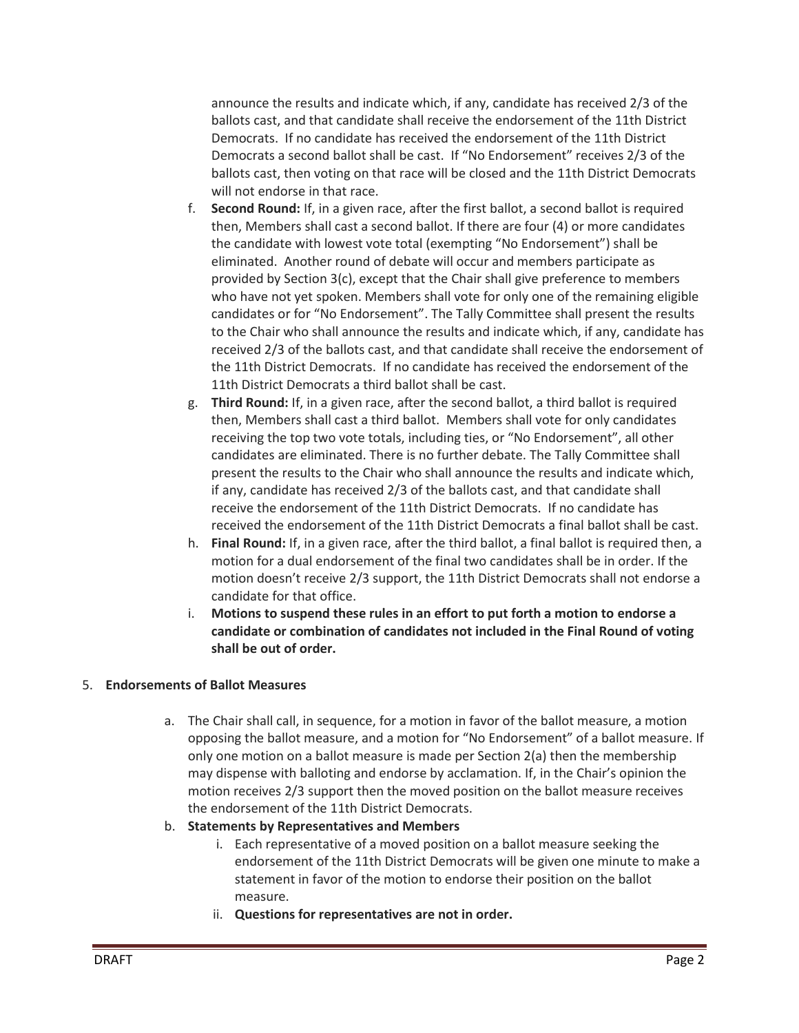announce the results and indicate which, if any, candidate has received 2/3 of the ballots cast, and that candidate shall receive the endorsement of the 11th District Democrats. If no candidate has received the endorsement of the 11th District Democrats a second ballot shall be cast. If "No Endorsement" receives 2/3 of the ballots cast, then voting on that race will be closed and the 11th District Democrats will not endorse in that race.

- f. **Second Round:** If, in a given race, after the first ballot, a second ballot is required then, Members shall cast a second ballot. If there are four (4) or more candidates the candidate with lowest vote total (exempting "No Endorsement") shall be eliminated. Another round of debate will occur and members participate as provided by Section 3(c), except that the Chair shall give preference to members who have not yet spoken. Members shall vote for only one of the remaining eligible candidates or for "No Endorsement". The Tally Committee shall present the results to the Chair who shall announce the results and indicate which, if any, candidate has received 2/3 of the ballots cast, and that candidate shall receive the endorsement of the 11th District Democrats. If no candidate has received the endorsement of the 11th District Democrats a third ballot shall be cast.
- g. **Third Round:** If, in a given race, after the second ballot, a third ballot is required then, Members shall cast a third ballot. Members shall vote for only candidates receiving the top two vote totals, including ties, or "No Endorsement", all other candidates are eliminated. There is no further debate. The Tally Committee shall present the results to the Chair who shall announce the results and indicate which, if any, candidate has received 2/3 of the ballots cast, and that candidate shall receive the endorsement of the 11th District Democrats. If no candidate has received the endorsement of the 11th District Democrats a final ballot shall be cast.
- h. **Final Round:** If, in a given race, after the third ballot, a final ballot is required then, a motion for a dual endorsement of the final two candidates shall be in order. If the motion doesn't receive 2/3 support, the 11th District Democrats shall not endorse a candidate for that office.
- i. **Motions to suspend these rules in an effort to put forth a motion to endorse a candidate or combination of candidates not included in the Final Round of voting shall be out of order.**

## 5. **Endorsements of Ballot Measures**

- a. The Chair shall call, in sequence, for a motion in favor of the ballot measure, a motion opposing the ballot measure, and a motion for "No Endorsement" of a ballot measure. If only one motion on a ballot measure is made per Section 2(a) then the membership may dispense with balloting and endorse by acclamation. If, in the Chair's opinion the motion receives 2/3 support then the moved position on the ballot measure receives the endorsement of the 11th District Democrats.
- b. **Statements by Representatives and Members**
	- i. Each representative of a moved position on a ballot measure seeking the endorsement of the 11th District Democrats will be given one minute to make a statement in favor of the motion to endorse their position on the ballot measure.
	- ii. **Questions for representatives are not in order.**